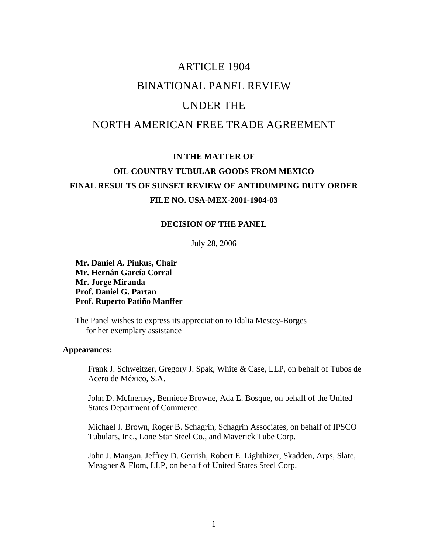# ARTICLE 1904 BINATIONAL PANEL REVIEW

## UNDER THE

## NORTH AMERICAN FREE TRADE AGREEMENT

### **IN THE MATTER OF**

## **OIL COUNTRY TUBULAR GOODS FROM MEXICO FINAL RESULTS OF SUNSET REVIEW OF ANTIDUMPING DUTY ORDER FILE NO. USA-MEX-2001-1904-03**

#### **DECISION OF THE PANEL**

July 28, 2006

**Mr. Daniel A. Pinkus, Chair Mr. Hernán García Corral Mr. Jorge Miranda Prof. Daniel G. Partan Prof. Ruperto Patiño Manffer** 

 The Panel wishes to express its appreciation to Idalia Mestey-Borges for her exemplary assistance

#### **Appearances:**

 Frank J. Schweitzer, Gregory J. Spak, White & Case, LLP, on behalf of Tubos de Acero de México, S.A.

John D. McInerney, Berniece Browne, Ada E. Bosque, on behalf of the United States Department of Commerce.

 Michael J. Brown, Roger B. Schagrin, Schagrin Associates, on behalf of IPSCO Tubulars, Inc., Lone Star Steel Co., and Maverick Tube Corp.

 John J. Mangan, Jeffrey D. Gerrish, Robert E. Lighthizer, Skadden, Arps, Slate, Meagher & Flom, LLP, on behalf of United States Steel Corp.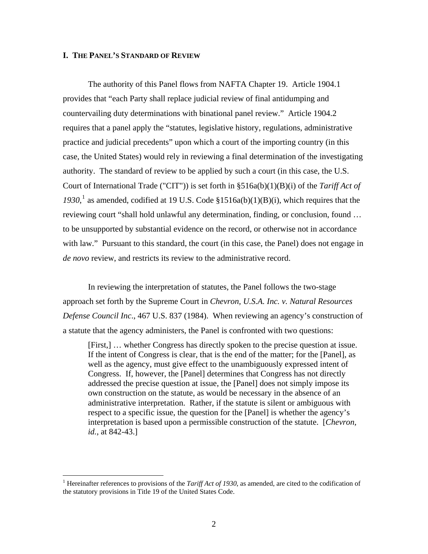#### **I. THE PANEL'S STANDARD OF REVIEW**

 The authority of this Panel flows from NAFTA Chapter 19. Article 1904.1 provides that "each Party shall replace judicial review of final antidumping and countervailing duty determinations with binational panel review." Article 1904.2 requires that a panel apply the "statutes, legislative history, regulations, administrative practice and judicial precedents" upon which a court of the importing country (in this case, the United States) would rely in reviewing a final determination of the investigating authority. The standard of review to be applied by such a court (in this case, the U.S. Court of International Trade ("CIT")) is set forth in §516a(b)(1)(B)(i) of the *Tariff Act of*   $1930$  $1930$ <sup>1</sup>, as amended, codified at 19 U.S. Code §1516a(b)(1)(B)(i), which requires that the reviewing court "shall hold unlawful any determination, finding, or conclusion, found … to be unsupported by substantial evidence on the record, or otherwise not in accordance with law." Pursuant to this standard, the court (in this case, the Panel) does not engage in *de novo* review, and restricts its review to the administrative record.

 In reviewing the interpretation of statutes, the Panel follows the two-stage approach set forth by the Supreme Court in *Chevron, U.S.A. Inc. v. Natural Resources Defense Council Inc*., 467 U.S. 837 (1984). When reviewing an agency's construction of a statute that the agency administers, the Panel is confronted with two questions:

[First,] … whether Congress has directly spoken to the precise question at issue. If the intent of Congress is clear, that is the end of the matter; for the [Panel], as well as the agency, must give effect to the unambiguously expressed intent of Congress. If, however, the [Panel] determines that Congress has not directly addressed the precise question at issue, the [Panel] does not simply impose its own construction on the statute, as would be necessary in the absence of an administrative interpretation. Rather, if the statute is silent or ambiguous with respect to a specific issue, the question for the [Panel] is whether the agency's interpretation is based upon a permissible construction of the statute. [*Chevron, id.*, at 842-43.]

<span id="page-1-0"></span><sup>&</sup>lt;sup>1</sup> Hereinafter references to provisions of the *Tariff Act of 1930*, as amended, are cited to the codification of the statutory provisions in Title 19 of the United States Code.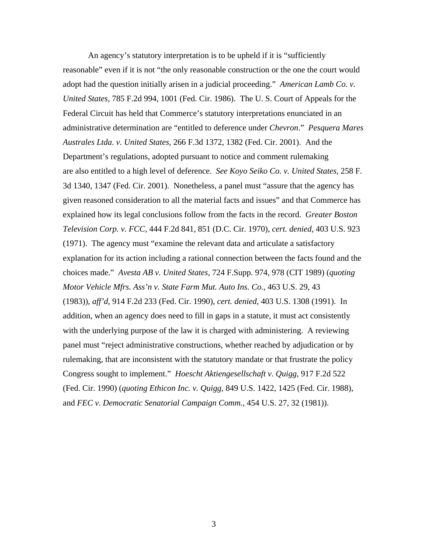An agency's statutory interpretation is to be upheld if it is "sufficiently reasonable" even if it is not "the only reasonable construction or the one the court would adopt had the question initially arisen in a judicial proceeding." *American Lamb Co. v. United States,* 785 F.2d 994, 1001 (Fed. Cir. 1986). The U. S. Court of Appeals for the Federal Circuit has held that Commerce's statutory interpretations enunciated in an administrative determination are "entitled to deference under *Chevron*." *Pesquera Mares Australes Ltda. v. United States,* 266 F.3d 1372, 1382 (Fed. Cir. 2001). And the Department's regulations, adopted pursuant to notice and comment rulemaking are also entitled to a high level of deference. *See Koyo Seiko Co. v. United States,* 258 F. 3d 1340, 1347 (Fed. Cir. 2001). Nonetheless, a panel must "assure that the agency has given reasoned consideration to all the material facts and issues" and that Commerce has explained how its legal conclusions follow from the facts in the record. *Greater Boston Television Corp. v. FCC,* 444 F.2d 841, 851 (D.C. Cir. 1970), *cert. denied*, 403 U.S. 923 (1971). The agency must "examine the relevant data and articulate a satisfactory explanation for its action including a rational connection between the facts found and the choices made." *Avesta AB v. United States*, 724 F.Supp. 974, 978 (CIT 1989) (*quoting Motor Vehicle Mfrs. Ass'n v. State Farm Mut. Auto Ins. Co.*, 463 U.S. 29, 43 (1983)), *aff'd*, 914 F.2d 233 (Fed. Cir. 1990), *cert. denied*, 403 U.S. 1308 (1991). In addition, when an agency does need to fill in gaps in a statute, it must act consistently with the underlying purpose of the law it is charged with administering. A reviewing panel must "reject administrative constructions, whether reached by adjudication or by rulemaking, that are inconsistent with the statutory mandate or that frustrate the policy Congress sought to implement." *Hoescht Aktiengesellschaft v. Quigg*, 917 F.2d 522 (Fed. Cir. 1990) (*quoting Ethicon Inc. v. Quigg*, 849 U.S. 1422, 1425 (Fed. Cir. 1988), and *FEC v. Democratic Senatorial Campaign Comm.*, 454 U.S. 27, 32 (1981)).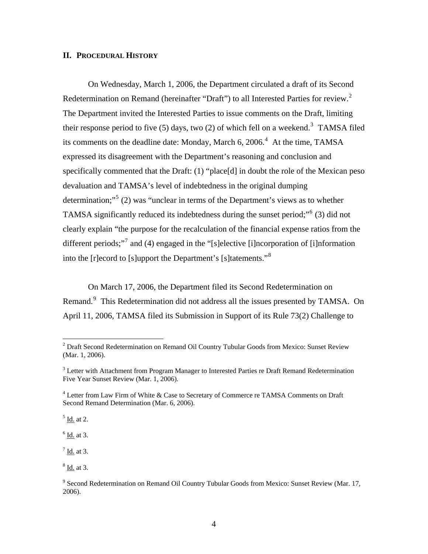#### **II. PROCEDURAL HISTORY**

 On Wednesday, March 1, 2006, the Department circulated a draft of its Second Redetermination on Remand (hereinafter "Draft") to all Interested Parties for review.<sup>[2](#page-3-0)</sup> The Department invited the Interested Parties to issue comments on the Draft, limiting their response period to five  $(5)$  days, two  $(2)$  of which fell on a weekend.<sup>[3](#page-3-1)</sup> TAMSA filed its comments on the deadline date: Monday, March 6,  $2006<sup>4</sup>$  $2006<sup>4</sup>$  $2006<sup>4</sup>$  At the time, TAMSA expressed its disagreement with the Department's reasoning and conclusion and specifically commented that the Draft: (1) "place[d] in doubt the role of the Mexican peso devaluation and TAMSA's level of indebtedness in the original dumping determination;"<sup>[5](#page-3-3)</sup> (2) was "unclear in terms of the Department's views as to whether TAMSA significantly reduced its indebtedness during the sunset period;"<sup>[6](#page-3-4)</sup> (3) did not clearly explain "the purpose for the recalculation of the financial expense ratios from the different periods;"<sup>[7](#page-3-5)</sup> and (4) engaged in the "[s]elective [i]ncorporation of [i]nformation into the [r]ecord to [s]upport the Department's [s]tatements."[8](#page-3-6)

 On March 17, 2006, the Department filed its Second Redetermination on Remand.<sup>[9](#page-3-7)</sup> This Redetermination did not address all the issues presented by TAMSA. On April 11, 2006, TAMSA filed its Submission in Support of its Rule 73(2) Challenge to

<span id="page-3-3"></span> $<sup>5</sup>$  Id. at 2.</sup>

 $\overline{a}$ 

<span id="page-3-4"></span> $6$  <u>Id.</u> at 3.

<span id="page-3-5"></span> $<sup>7</sup>$  Id. at 3.</sup>

<span id="page-3-6"></span><sup>8</sup> Id. at 3.

<span id="page-3-0"></span> $2^{2}$  Draft Second Redetermination on Remand Oil Country Tubular Goods from Mexico: Sunset Review (Mar. 1, 2006).

<span id="page-3-1"></span> $3$  Letter with Attachment from Program Manager to Interested Parties re Draft Remand Redetermination Five Year Sunset Review (Mar. 1, 2006).

<span id="page-3-2"></span><sup>&</sup>lt;sup>4</sup> Letter from Law Firm of White & Case to Secretary of Commerce re TAMSA Comments on Draft Second Remand Determination (Mar. 6, 2006).

<span id="page-3-7"></span><sup>&</sup>lt;sup>9</sup> Second Redetermination on Remand Oil Country Tubular Goods from Mexico: Sunset Review (Mar. 17, 2006).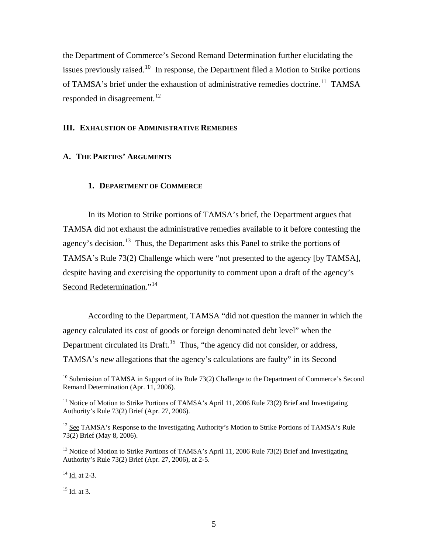the Department of Commerce's Second Remand Determination further elucidating the issues previously raised.<sup>[10](#page-4-0)</sup> In response, the Department filed a Motion to Strike portions of TAMSA's brief under the exhaustion of administrative remedies doctrine.<sup>[11](#page-4-1)</sup> TAMSA responded in disagreement.<sup>[12](#page-4-2)</sup>

#### **III. EXHAUSTION OF ADMINISTRATIVE REMEDIES**

#### **A. THE PARTIES' ARGUMENTS**

#### **1. DEPARTMENT OF COMMERCE**

 In its Motion to Strike portions of TAMSA's brief, the Department argues that TAMSA did not exhaust the administrative remedies available to it before contesting the agency's decision.<sup>[13](#page-4-3)</sup> Thus, the Department asks this Panel to strike the portions of TAMSA's Rule 73(2) Challenge which were "not presented to the agency [by TAMSA], despite having and exercising the opportunity to comment upon a draft of the agency's Second Redetermination."<sup>[14](#page-4-4)</sup>

 According to the Department, TAMSA "did not question the manner in which the agency calculated its cost of goods or foreign denominated debt level" when the Department circulated its Draft.<sup>[15](#page-4-5)</sup> Thus, "the agency did not consider, or address, TAMSA's *new* allegations that the agency's calculations are faulty" in its Second

<span id="page-4-4"></span><sup>14</sup> Id. at 2-3.

 $\overline{a}$ 

<span id="page-4-5"></span> $^{15}$  Id. at 3.

<span id="page-4-0"></span> $10$  Submission of TAMSA in Support of its Rule 73(2) Challenge to the Department of Commerce's Second Remand Determination (Apr. 11, 2006).

<span id="page-4-1"></span><sup>&</sup>lt;sup>11</sup> Notice of Motion to Strike Portions of TAMSA's April 11, 2006 Rule 73(2) Brief and Investigating Authority's Rule 73(2) Brief (Apr. 27, 2006).

<span id="page-4-2"></span> $12$  See TAMSA's Response to the Investigating Authority's Motion to Strike Portions of TAMSA's Rule 73(2) Brief (May 8, 2006).

<span id="page-4-3"></span><sup>&</sup>lt;sup>13</sup> Notice of Motion to Strike Portions of TAMSA's April 11, 2006 Rule 73(2) Brief and Investigating Authority's Rule 73(2) Brief (Apr. 27, 2006), at 2-5.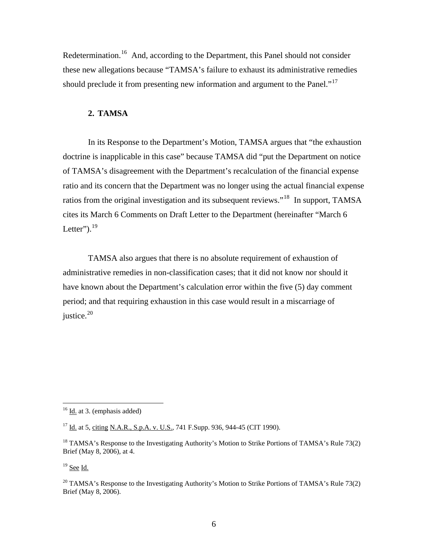Redetermination.<sup>[16](#page-5-0)</sup> And, according to the Department, this Panel should not consider these new allegations because "TAMSA's failure to exhaust its administrative remedies should preclude it from presenting new information and argument to the Panel."<sup>[17](#page-5-1)</sup>

#### **2. TAMSA**

 In its Response to the Department's Motion, TAMSA argues that "the exhaustion doctrine is inapplicable in this case" because TAMSA did "put the Department on notice of TAMSA's disagreement with the Department's recalculation of the financial expense ratio and its concern that the Department was no longer using the actual financial expense ratios from the original investigation and its subsequent reviews."[18](#page-5-2) In support, TAMSA cites its March 6 Comments on Draft Letter to the Department (hereinafter "March 6 Letter"). $19$ 

 TAMSA also argues that there is no absolute requirement of exhaustion of administrative remedies in non-classification cases; that it did not know nor should it have known about the Department's calculation error within the five (5) day comment period; and that requiring exhaustion in this case would result in a miscarriage of justice. $20$ 

<span id="page-5-3"></span> $19$  See Id.

<span id="page-5-0"></span> $16$  Id. at 3. (emphasis added)

<span id="page-5-1"></span><sup>&</sup>lt;sup>17</sup> Id. at 5, citing N.A.R., S.p.A. v. U.S., 741 F.Supp. 936, 944-45 (CIT 1990).

<span id="page-5-2"></span> $18$  TAMSA's Response to the Investigating Authority's Motion to Strike Portions of TAMSA's Rule 73(2) Brief (May 8, 2006), at 4.

<span id="page-5-4"></span><sup>&</sup>lt;sup>20</sup> TAMSA's Response to the Investigating Authority's Motion to Strike Portions of TAMSA's Rule 73(2) Brief (May 8, 2006).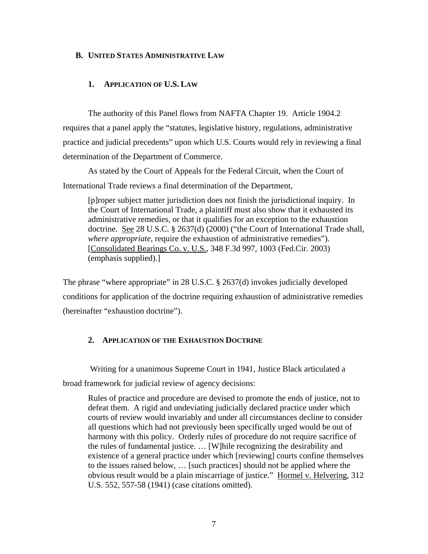#### **B. UNITED STATES ADMINISTRATIVE LAW**

#### **1. APPLICATION OF U.S. LAW**

 The authority of this Panel flows from NAFTA Chapter 19. Article 1904.2 requires that a panel apply the "statutes, legislative history, regulations, administrative practice and judicial precedents" upon which U.S. Courts would rely in reviewing a final determination of the Department of Commerce.

As stated by the Court of Appeals for the Federal Circuit, when the Court of International Trade reviews a final determination of the Department,

[p]roper subject matter jurisdiction does not finish the jurisdictional inquiry. In the Court of International Trade, a plaintiff must also show that it exhausted its administrative remedies, or that it qualifies for an exception to the exhaustion doctrine. See 28 U.S.C. § 2637(d) (2000) ("the Court of International Trade shall, *where appropriate*, require the exhaustion of administrative remedies"). [Consolidated Bearings Co. v. U.S., 348 F.3d 997, 1003 (Fed.Cir. 2003) (emphasis supplied).]

The phrase "where appropriate" in 28 U.S.C. § 2637(d) invokes judicially developed conditions for application of the doctrine requiring exhaustion of administrative remedies (hereinafter "exhaustion doctrine").

#### **2. APPLICATION OF THE EXHAUSTION DOCTRINE**

 Writing for a unanimous Supreme Court in 1941, Justice Black articulated a broad framework for judicial review of agency decisions:

Rules of practice and procedure are devised to promote the ends of justice, not to defeat them. A rigid and undeviating judicially declared practice under which courts of review would invariably and under all circumstances decline to consider all questions which had not previously been specifically urged would be out of harmony with this policy. Orderly rules of procedure do not require sacrifice of the rules of fundamental justice. … [W]hile recognizing the desirability and existence of a general practice under which [reviewing] courts confine themselves to the issues raised below, … [such practices] should not be applied where the obvious result would be a plain miscarriage of justice." Hormel v. Helvering, 312 U.S. 552, 557-58 (1941) (case citations omitted).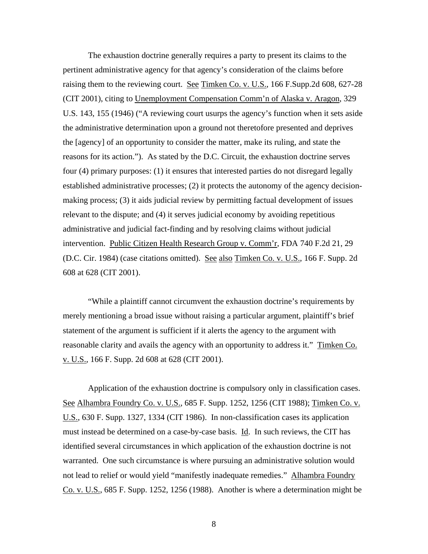The exhaustion doctrine generally requires a party to present its claims to the pertinent administrative agency for that agency's consideration of the claims before raising them to the reviewing court. See Timken Co. v. U.S., 166 F.Supp.2d 608, 627-28 (CIT 2001), citing to Unemployment Compensation Comm'n of Alaska v. Aragon, 329 U.S. 143, 155 (1946) ("A reviewing court usurps the agency's function when it sets aside the administrative determination upon a ground not theretofore presented and deprives the [agency] of an opportunity to consider the matter, make its ruling, and state the reasons for its action."). As stated by the D.C. Circuit, the exhaustion doctrine serves four (4) primary purposes: (1) it ensures that interested parties do not disregard legally established administrative processes; (2) it protects the autonomy of the agency decisionmaking process; (3) it aids judicial review by permitting factual development of issues relevant to the dispute; and (4) it serves judicial economy by avoiding repetitious administrative and judicial fact-finding and by resolving claims without judicial intervention. Public Citizen Health Research Group v. Comm'r, FDA 740 F.2d 21, 29 (D.C. Cir. 1984) (case citations omitted). See also Timken Co. v. U.S., 166 F. Supp. 2d 608 at 628 (CIT 2001).

 "While a plaintiff cannot circumvent the exhaustion doctrine's requirements by merely mentioning a broad issue without raising a particular argument, plaintiff's brief statement of the argument is sufficient if it alerts the agency to the argument with reasonable clarity and avails the agency with an opportunity to address it." Timken Co. v. U.S., 166 F. Supp. 2d 608 at 628 (CIT 2001).

 Application of the exhaustion doctrine is compulsory only in classification cases. See Alhambra Foundry Co. v. U.S., 685 F. Supp. 1252, 1256 (CIT 1988); Timken Co. v. U.S., 630 F. Supp. 1327, 1334 (CIT 1986). In non-classification cases its application must instead be determined on a case-by-case basis. Id. In such reviews, the CIT has identified several circumstances in which application of the exhaustion doctrine is not warranted. One such circumstance is where pursuing an administrative solution would not lead to relief or would yield "manifestly inadequate remedies." Alhambra Foundry Co. v. U.S., 685 F. Supp. 1252, 1256 (1988). Another is where a determination might be

8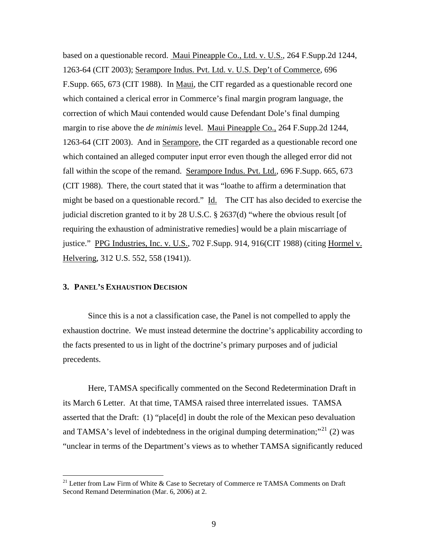based on a questionable record. Maui Pineapple Co., Ltd. v. U.S., 264 F.Supp.2d 1244, 1263-64 (CIT 2003); Serampore Indus. Pvt. Ltd. v. U.S. Dep't of Commerce, 696 F.Supp. 665, 673 (CIT 1988). In Maui, the CIT regarded as a questionable record one which contained a clerical error in Commerce's final margin program language, the correction of which Maui contended would cause Defendant Dole's final dumping margin to rise above the *de minimis* level. Maui Pineapple Co., 264 F.Supp.2d 1244, 1263-64 (CIT 2003). And in Serampore, the CIT regarded as a questionable record one which contained an alleged computer input error even though the alleged error did not fall within the scope of the remand. Serampore Indus. Pvt. Ltd., 696 F.Supp. 665, 673 (CIT 1988). There, the court stated that it was "loathe to affirm a determination that might be based on a questionable record." Id. The CIT has also decided to exercise the judicial discretion granted to it by 28 U.S.C. § 2637(d) "where the obvious result [of requiring the exhaustion of administrative remedies] would be a plain miscarriage of justice." PPG Industries, Inc. v. U.S., 702 F.Supp. 914, 916(CIT 1988) (citing Hormel v. Helvering, 312 U.S. 552, 558 (1941)).

#### **3. PANEL'S EXHAUSTION DECISION**

 $\overline{a}$ 

 Since this is a not a classification case, the Panel is not compelled to apply the exhaustion doctrine. We must instead determine the doctrine's applicability according to the facts presented to us in light of the doctrine's primary purposes and of judicial precedents.

 Here, TAMSA specifically commented on the Second Redetermination Draft in its March 6 Letter. At that time, TAMSA raised three interrelated issues. TAMSA asserted that the Draft: (1) "place[d] in doubt the role of the Mexican peso devaluation and TAMSA's level of indebtedness in the original dumping determination;"<sup>[21](#page-8-0)</sup> (2) was "unclear in terms of the Department's views as to whether TAMSA significantly reduced

<span id="page-8-0"></span><sup>&</sup>lt;sup>21</sup> Letter from Law Firm of White & Case to Secretary of Commerce re TAMSA Comments on Draft Second Remand Determination (Mar. 6, 2006) at 2.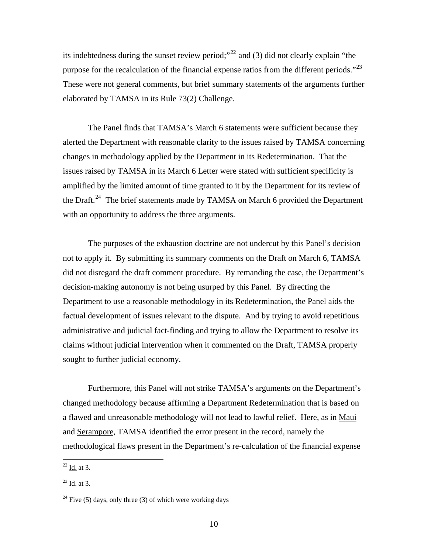its indebtedness during the sunset review period;"<sup>[22](#page-9-0)</sup> and (3) did not clearly explain "the purpose for the recalculation of the financial expense ratios from the different periods."<sup>[23](#page-9-1)</sup> These were not general comments, but brief summary statements of the arguments further elaborated by TAMSA in its Rule 73(2) Challenge.

 The Panel finds that TAMSA's March 6 statements were sufficient because they alerted the Department with reasonable clarity to the issues raised by TAMSA concerning changes in methodology applied by the Department in its Redetermination. That the issues raised by TAMSA in its March 6 Letter were stated with sufficient specificity is amplified by the limited amount of time granted to it by the Department for its review of the Draft.<sup>[24](#page-9-2)</sup> The brief statements made by TAMSA on March 6 provided the Department with an opportunity to address the three arguments.

 The purposes of the exhaustion doctrine are not undercut by this Panel's decision not to apply it. By submitting its summary comments on the Draft on March 6, TAMSA did not disregard the draft comment procedure. By remanding the case, the Department's decision-making autonomy is not being usurped by this Panel. By directing the Department to use a reasonable methodology in its Redetermination, the Panel aids the factual development of issues relevant to the dispute. And by trying to avoid repetitious administrative and judicial fact-finding and trying to allow the Department to resolve its claims without judicial intervention when it commented on the Draft, TAMSA properly sought to further judicial economy.

 Furthermore, this Panel will not strike TAMSA's arguments on the Department's changed methodology because affirming a Department Redetermination that is based on a flawed and unreasonable methodology will not lead to lawful relief. Here, as in Maui and Serampore, TAMSA identified the error present in the record, namely the methodological flaws present in the Department's re-calculation of the financial expense

<span id="page-9-0"></span> $^{22}$  <u>Id.</u> at 3.

<span id="page-9-1"></span> $^{23}$  Id. at 3.

<span id="page-9-2"></span><sup>&</sup>lt;sup>24</sup> Five (5) days, only three (3) of which were working days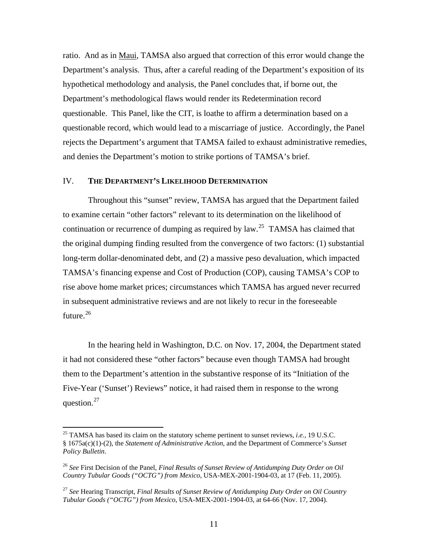ratio. And as in Maui, TAMSA also argued that correction of this error would change the Department's analysis. Thus, after a careful reading of the Department's exposition of its hypothetical methodology and analysis, the Panel concludes that, if borne out, the Department's methodological flaws would render its Redetermination record questionable. This Panel, like the CIT, is loathe to affirm a determination based on a questionable record, which would lead to a miscarriage of justice. Accordingly, the Panel rejects the Department's argument that TAMSA failed to exhaust administrative remedies, and denies the Department's motion to strike portions of TAMSA's brief.

#### IV. **THE DEPARTMENT'S LIKELIHOOD DETERMINATION**

Throughout this "sunset" review, TAMSA has argued that the Department failed to examine certain "other factors" relevant to its determination on the likelihood of continuation or recurrence of dumping as required by law.<sup>[25](#page-10-0)</sup> TAMSA has claimed that the original dumping finding resulted from the convergence of two factors: (1) substantial long-term dollar-denominated debt, and (2) a massive peso devaluation, which impacted TAMSA's financing expense and Cost of Production (COP), causing TAMSA's COP to rise above home market prices; circumstances which TAMSA has argued never recurred in subsequent administrative reviews and are not likely to recur in the foreseeable future.<sup>[26](#page-10-1)</sup>

In the hearing held in Washington, D.C. on Nov. 17, 2004, the Department stated it had not considered these "other factors" because even though TAMSA had brought them to the Department's attention in the substantive response of its "Initiation of the Five-Year ('Sunset') Reviews" notice, it had raised them in response to the wrong question. $27$ 

<span id="page-10-0"></span><sup>25</sup> TAMSA has based its claim on the statutory scheme pertinent to sunset reviews, *i.e.*, 19 U.S.C. § 1675a(c)(1)-(2), the *Statement of Administrative Action*, and the Department of Commerce's *Sunset Policy Bulletin*.

<span id="page-10-1"></span><sup>26</sup> *See* First Decision of the Panel, *Final Results of Sunset Review of Antidumping Duty Order on Oil Country Tubular Goods ("OCTG") from Mexico*, USA-MEX-2001-1904-03, at 17 (Feb. 11, 2005).

<span id="page-10-2"></span><sup>27</sup> *See* Hearing Transcript, *Final Results of Sunset Review of Antidumping Duty Order on Oil Country Tubular Goods ("OCTG") from Mexico*, USA-MEX-2001-1904-03, at 64-66 (Nov. 17, 2004).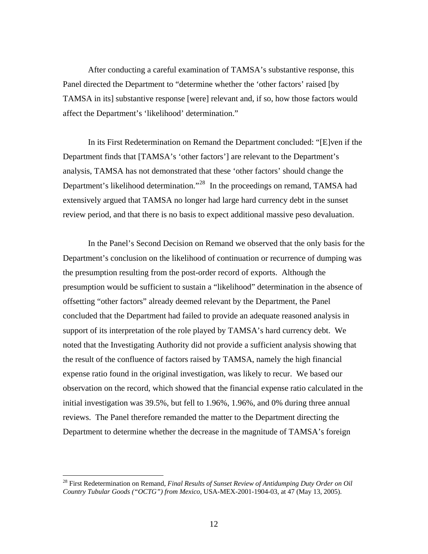After conducting a careful examination of TAMSA's substantive response, this Panel directed the Department to "determine whether the 'other factors' raised [by TAMSA in its] substantive response [were] relevant and, if so, how those factors would affect the Department's 'likelihood' determination."

In its First Redetermination on Remand the Department concluded: "[E]ven if the Department finds that [TAMSA's 'other factors'] are relevant to the Department's analysis, TAMSA has not demonstrated that these 'other factors' should change the Department's likelihood determination."<sup>[28](#page-11-0)</sup> In the proceedings on remand, TAMSA had extensively argued that TAMSA no longer had large hard currency debt in the sunset review period, and that there is no basis to expect additional massive peso devaluation.

In the Panel's Second Decision on Remand we observed that the only basis for the Department's conclusion on the likelihood of continuation or recurrence of dumping was the presumption resulting from the post-order record of exports. Although the presumption would be sufficient to sustain a "likelihood" determination in the absence of offsetting "other factors" already deemed relevant by the Department, the Panel concluded that the Department had failed to provide an adequate reasoned analysis in support of its interpretation of the role played by TAMSA's hard currency debt. We noted that the Investigating Authority did not provide a sufficient analysis showing that the result of the confluence of factors raised by TAMSA, namely the high financial expense ratio found in the original investigation, was likely to recur. We based our observation on the record, which showed that the financial expense ratio calculated in the initial investigation was 39.5%, but fell to 1.96%, 1.96%, and 0% during three annual reviews. The Panel therefore remanded the matter to the Department directing the Department to determine whether the decrease in the magnitude of TAMSA's foreign

<span id="page-11-0"></span><sup>28</sup> First Redetermination on Remand, *Final Results of Sunset Review of Antidumping Duty Order on Oil Country Tubular Goods ("OCTG") from Mexico*, USA-MEX-2001-1904-03, at 47 (May 13, 2005).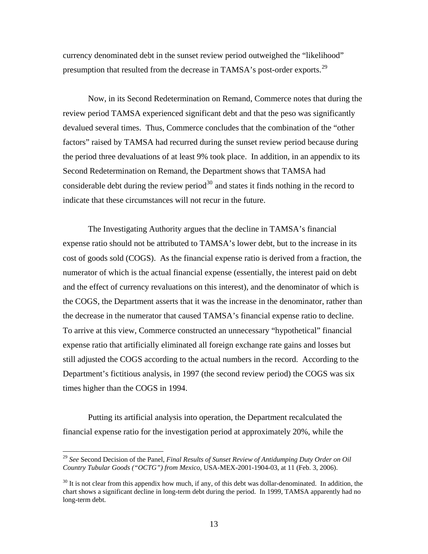currency denominated debt in the sunset review period outweighed the "likelihood" presumption that resulted from the decrease in TAMSA's post-order exports.<sup>[29](#page-12-0)</sup>

 Now, in its Second Redetermination on Remand, Commerce notes that during the review period TAMSA experienced significant debt and that the peso was significantly devalued several times. Thus, Commerce concludes that the combination of the "other factors" raised by TAMSA had recurred during the sunset review period because during the period three devaluations of at least 9% took place. In addition, in an appendix to its Second Redetermination on Remand, the Department shows that TAMSA had considerable debt during the review period<sup>[30](#page-12-1)</sup> and states it finds nothing in the record to indicate that these circumstances will not recur in the future.

 The Investigating Authority argues that the decline in TAMSA's financial expense ratio should not be attributed to TAMSA's lower debt, but to the increase in its cost of goods sold (COGS). As the financial expense ratio is derived from a fraction, the numerator of which is the actual financial expense (essentially, the interest paid on debt and the effect of currency revaluations on this interest), and the denominator of which is the COGS, the Department asserts that it was the increase in the denominator, rather than the decrease in the numerator that caused TAMSA's financial expense ratio to decline. To arrive at this view, Commerce constructed an unnecessary "hypothetical" financial expense ratio that artificially eliminated all foreign exchange rate gains and losses but still adjusted the COGS according to the actual numbers in the record. According to the Department's fictitious analysis, in 1997 (the second review period) the COGS was six times higher than the COGS in 1994.

 Putting its artificial analysis into operation, the Department recalculated the financial expense ratio for the investigation period at approximately 20%, while the

<span id="page-12-0"></span><sup>29</sup> *See* Second Decision of the Panel, *Final Results of Sunset Review of Antidumping Duty Order on Oil Country Tubular Goods ("OCTG") from Mexico*, USA-MEX-2001-1904-03, at 11 (Feb. 3, 2006).

<span id="page-12-1"></span> $30$  It is not clear from this appendix how much, if any, of this debt was dollar-denominated. In addition, the chart shows a significant decline in long-term debt during the period. In 1999, TAMSA apparently had no long-term debt.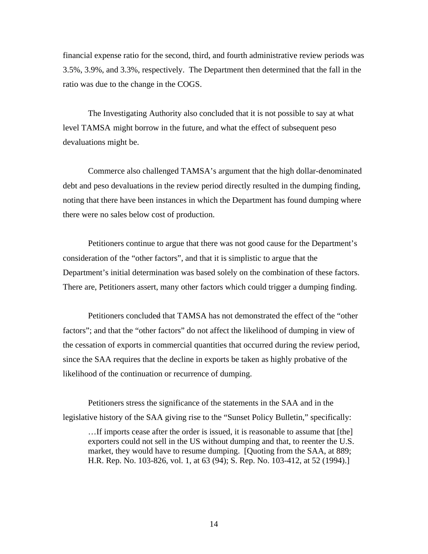financial expense ratio for the second, third, and fourth administrative review periods was 3.5%, 3.9%, and 3.3%, respectively. The Department then determined that the fall in the ratio was due to the change in the COGS.

The Investigating Authority also concluded that it is not possible to say at what level TAMSA might borrow in the future, and what the effect of subsequent peso devaluations might be.

 Commerce also challenged TAMSA's argument that the high dollar-denominated debt and peso devaluations in the review period directly resulted in the dumping finding, noting that there have been instances in which the Department has found dumping where there were no sales below cost of production.

 Petitioners continue to argue that there was not good cause for the Department's consideration of the "other factors", and that it is simplistic to argue that the Department's initial determination was based solely on the combination of these factors. There are, Petitioners assert, many other factors which could trigger a dumping finding.

 Petitioners concluded that TAMSA has not demonstrated the effect of the "other factors"; and that the "other factors" do not affect the likelihood of dumping in view of the cessation of exports in commercial quantities that occurred during the review period, since the SAA requires that the decline in exports be taken as highly probative of the likelihood of the continuation or recurrence of dumping.

 Petitioners stress the significance of the statements in the SAA and in the legislative history of the SAA giving rise to the "Sunset Policy Bulletin," specifically:

…If imports cease after the order is issued, it is reasonable to assume that [the] exporters could not sell in the US without dumping and that, to reenter the U.S. market, they would have to resume dumping. [Quoting from the SAA, at 889; H.R. Rep. No. 103-826, vol. 1, at 63 (94); S. Rep. No. 103-412, at 52 (1994).]

14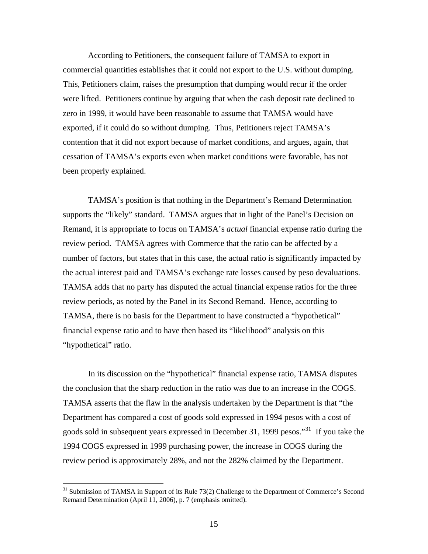According to Petitioners, the consequent failure of TAMSA to export in commercial quantities establishes that it could not export to the U.S. without dumping. This, Petitioners claim, raises the presumption that dumping would recur if the order were lifted. Petitioners continue by arguing that when the cash deposit rate declined to zero in 1999, it would have been reasonable to assume that TAMSA would have exported, if it could do so without dumping. Thus, Petitioners reject TAMSA's contention that it did not export because of market conditions, and argues, again, that cessation of TAMSA's exports even when market conditions were favorable, has not been properly explained.

 TAMSA's position is that nothing in the Department's Remand Determination supports the "likely" standard. TAMSA argues that in light of the Panel's Decision on Remand, it is appropriate to focus on TAMSA's *actual* financial expense ratio during the review period. TAMSA agrees with Commerce that the ratio can be affected by a number of factors, but states that in this case, the actual ratio is significantly impacted by the actual interest paid and TAMSA's exchange rate losses caused by peso devaluations. TAMSA adds that no party has disputed the actual financial expense ratios for the three review periods, as noted by the Panel in its Second Remand. Hence, according to TAMSA, there is no basis for the Department to have constructed a "hypothetical" financial expense ratio and to have then based its "likelihood" analysis on this "hypothetical" ratio.

 In its discussion on the "hypothetical" financial expense ratio, TAMSA disputes the conclusion that the sharp reduction in the ratio was due to an increase in the COGS. TAMSA asserts that the flaw in the analysis undertaken by the Department is that "the Department has compared a cost of goods sold expressed in 1994 pesos with a cost of goods sold in subsequent years expressed in December [31](#page-14-0), 1999 pesos."<sup>31</sup> If you take the 1994 COGS expressed in 1999 purchasing power, the increase in COGS during the review period is approximately 28%, and not the 282% claimed by the Department.

<span id="page-14-0"></span><sup>&</sup>lt;sup>31</sup> Submission of TAMSA in Support of its Rule 73(2) Challenge to the Department of Commerce's Second Remand Determination (April 11, 2006), p. 7 (emphasis omitted).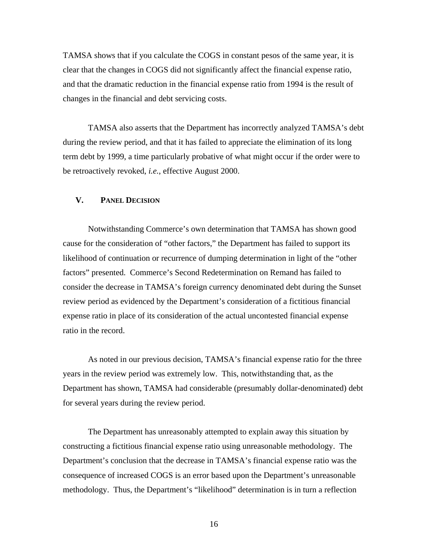TAMSA shows that if you calculate the COGS in constant pesos of the same year, it is clear that the changes in COGS did not significantly affect the financial expense ratio, and that the dramatic reduction in the financial expense ratio from 1994 is the result of changes in the financial and debt servicing costs.

 TAMSA also asserts that the Department has incorrectly analyzed TAMSA's debt during the review period, and that it has failed to appreciate the elimination of its long term debt by 1999, a time particularly probative of what might occur if the order were to be retroactively revoked, *i.e.*, effective August 2000.

#### **V. PANEL DECISION**

Notwithstanding Commerce's own determination that TAMSA has shown good cause for the consideration of "other factors," the Department has failed to support its likelihood of continuation or recurrence of dumping determination in light of the "other factors" presented. Commerce's Second Redetermination on Remand has failed to consider the decrease in TAMSA's foreign currency denominated debt during the Sunset review period as evidenced by the Department's consideration of a fictitious financial expense ratio in place of its consideration of the actual uncontested financial expense ratio in the record.

 As noted in our previous decision, TAMSA's financial expense ratio for the three years in the review period was extremely low. This, notwithstanding that, as the Department has shown, TAMSA had considerable (presumably dollar-denominated) debt for several years during the review period.

 The Department has unreasonably attempted to explain away this situation by constructing a fictitious financial expense ratio using unreasonable methodology. The Department's conclusion that the decrease in TAMSA's financial expense ratio was the consequence of increased COGS is an error based upon the Department's unreasonable methodology. Thus, the Department's "likelihood" determination is in turn a reflection